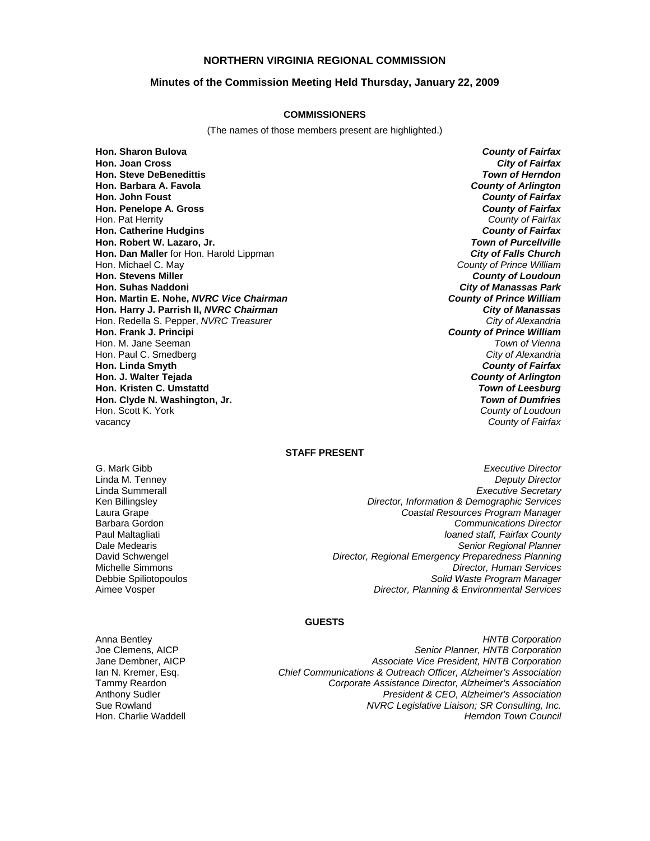#### **NORTHERN VIRGINIA REGIONAL COMMISSION**

#### **Minutes of the Commission Meeting Held Thursday, January 22, 2009**

#### **COMMISSIONERS**

(The names of those members present are highlighted.)

**Hon. Sharon Bulova** *County of Fairfax* **Hon. Joan Cross** *City of Fairfax* **Hon. Steve DeBenedittis Hon. Barbara A. Favola** *County of Arlington* **Hon. John Foust** *County of Fairfax* **Hon. Penelope A. Gross** *County of Fairfax* Hon. Pat Herrity *County of Fairfax* **Hon. Catherine Hudgins** *County of Fairfax* **Hon. Robert W. Lazaro, Jr. Hon. Dan Maller** for Hon. Harold Lippman *City of Falls Church* Hon. Michael C. May *County of Prince William* **Hon. Stevens Miller** *County of Loudoun* **Hon. Martin E. Nohe,** *NVRC Vice Chairman* **Hon. Harry J. Parrish II,** *NVRC Chairman City of Manassas* Hon. Redella S. Pepper, *NVRC Treasurer* **Hon. Frank J. Principi** *County of Prince William* Hon. M. Jane Seeman *Town of Vienna* Hon. Paul C. Smedberg *City of Alexandria* **Hon. Linda Smyth** *County of Fairfax* **Hon. J. Walter Tejada** *County of Arlington* **Hon. Kristen C. Umstattd** *Town of Leesburg* **Hon. Clyde N. Washington, Jr.** *Town of Dumfries* Hon. Scott K. York vacancy *County of Fairfax*

*City of Manassas Park*<br>**County of Prince William** 

#### **STAFF PRESENT**

Laura Grape Barbara Gordon

G. Mark Gibb *Executive Director* Linda M. Tenney *Deputy Director* Linda Summerall *Executive Secretary* Ken Billingsley *Director, Information & Demographic Services Coastal Resources Program Manager Communications Director* Paul Maltagliati *loaned staff, Fairfax County* Dale Medearis *Senior Regional Planner* David Schwengel *Director, Regional Emergency Preparedness Planning* Michelle Simmons *Director, Human Services* Debbie Spiliotopoulos *Solid Waste Program Manager* **Director, Planning & Environmental Services** 

#### **GUESTS**

Anna Bentley *HNTB Corporation*

Joe Clemens, AICP *Senior Planner, HNTB Corporation* Jane Dembner, AICP *Associate Vice President, HNTB Corporation* Ian N. Kremer, Esq. *Chief Communications & Outreach Officer, Alzheimer's Association* Tammy Reardon *Corporate Assistance Director, Alzheimer's Association* **President & CEO, Alzheimer's Association** Sue Rowland *NVRC Legislative Liaison; SR Consulting, Inc.* Hon. Charlie Waddell *Herndon Town Council*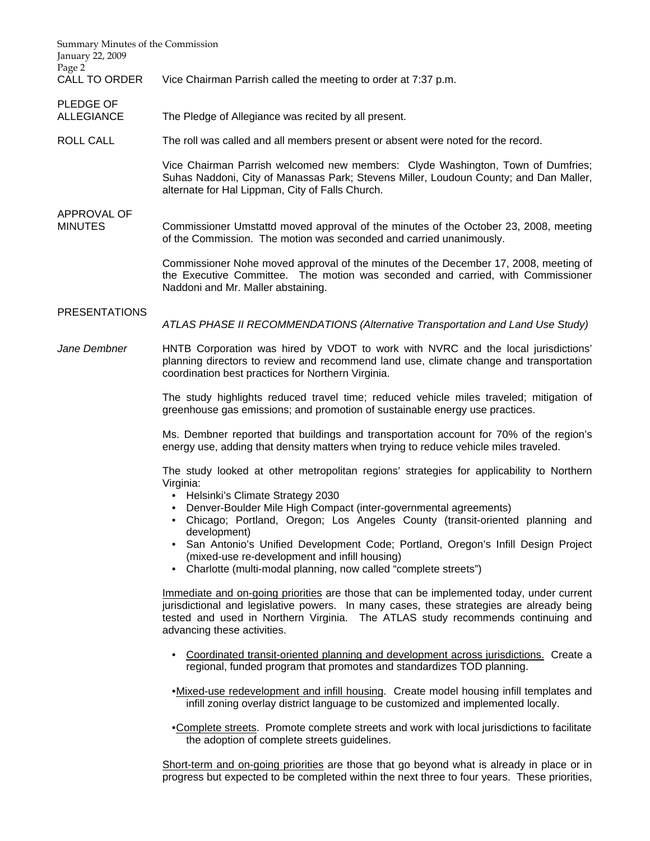| Summary Minutes of the Commission<br>January 22, 2009<br>Page 2 |                                                                                                                                                                                                                                                                                                                                                                                                                                                                                                                             |
|-----------------------------------------------------------------|-----------------------------------------------------------------------------------------------------------------------------------------------------------------------------------------------------------------------------------------------------------------------------------------------------------------------------------------------------------------------------------------------------------------------------------------------------------------------------------------------------------------------------|
| CALL TO ORDER                                                   | Vice Chairman Parrish called the meeting to order at 7:37 p.m.                                                                                                                                                                                                                                                                                                                                                                                                                                                              |
| PLEDGE OF<br><b>ALLEGIANCE</b>                                  | The Pledge of Allegiance was recited by all present.                                                                                                                                                                                                                                                                                                                                                                                                                                                                        |
| <b>ROLL CALL</b>                                                | The roll was called and all members present or absent were noted for the record.                                                                                                                                                                                                                                                                                                                                                                                                                                            |
|                                                                 | Vice Chairman Parrish welcomed new members: Clyde Washington, Town of Dumfries;<br>Suhas Naddoni, City of Manassas Park; Stevens Miller, Loudoun County; and Dan Maller,<br>alternate for Hal Lippman, City of Falls Church.                                                                                                                                                                                                                                                                                                |
| <b>APPROVAL OF</b><br>MINUTES                                   | Commissioner Umstattd moved approval of the minutes of the October 23, 2008, meeting<br>of the Commission. The motion was seconded and carried unanimously.                                                                                                                                                                                                                                                                                                                                                                 |
|                                                                 | Commissioner Nohe moved approval of the minutes of the December 17, 2008, meeting of<br>the Executive Committee. The motion was seconded and carried, with Commissioner<br>Naddoni and Mr. Maller abstaining.                                                                                                                                                                                                                                                                                                               |
| <b>PRESENTATIONS</b>                                            | ATLAS PHASE II RECOMMENDATIONS (Alternative Transportation and Land Use Study)                                                                                                                                                                                                                                                                                                                                                                                                                                              |
| Jane Dembner                                                    | HNTB Corporation was hired by VDOT to work with NVRC and the local jurisdictions'<br>planning directors to review and recommend land use, climate change and transportation<br>coordination best practices for Northern Virginia.                                                                                                                                                                                                                                                                                           |
|                                                                 | The study highlights reduced travel time; reduced vehicle miles traveled; mitigation of<br>greenhouse gas emissions; and promotion of sustainable energy use practices.                                                                                                                                                                                                                                                                                                                                                     |
|                                                                 | Ms. Dembner reported that buildings and transportation account for 70% of the region's<br>energy use, adding that density matters when trying to reduce vehicle miles traveled.                                                                                                                                                                                                                                                                                                                                             |
|                                                                 | The study looked at other metropolitan regions' strategies for applicability to Northern<br>Virginia:<br>• Helsinki's Climate Strategy 2030<br>Denver-Boulder Mile High Compact (inter-governmental agreements)<br>Chicago; Portland, Oregon; Los Angeles County (transit-oriented planning and<br>development)<br>• San Antonio's Unified Development Code; Portland, Oregon's Infill Design Project<br>(mixed-use re-development and infill housing)<br>• Charlotte (multi-modal planning, now called "complete streets") |
|                                                                 | Immediate and on-going priorities are those that can be implemented today, under current<br>jurisdictional and legislative powers. In many cases, these strategies are already being<br>tested and used in Northern Virginia. The ATLAS study recommends continuing and<br>advancing these activities.                                                                                                                                                                                                                      |
|                                                                 | Coordinated transit-oriented planning and development across jurisdictions. Create a<br>regional, funded program that promotes and standardizes TOD planning.                                                                                                                                                                                                                                                                                                                                                               |
|                                                                 | •Mixed-use redevelopment and infill housing. Create model housing infill templates and<br>infill zoning overlay district language to be customized and implemented locally.                                                                                                                                                                                                                                                                                                                                                 |
|                                                                 | . Complete streets. Promote complete streets and work with local jurisdictions to facilitate<br>the adoption of complete streets guidelines.                                                                                                                                                                                                                                                                                                                                                                                |
|                                                                 | Short-term and on-going priorities are those that go beyond what is already in place or in<br>progress but expected to be completed within the next three to four years. These priorities,                                                                                                                                                                                                                                                                                                                                  |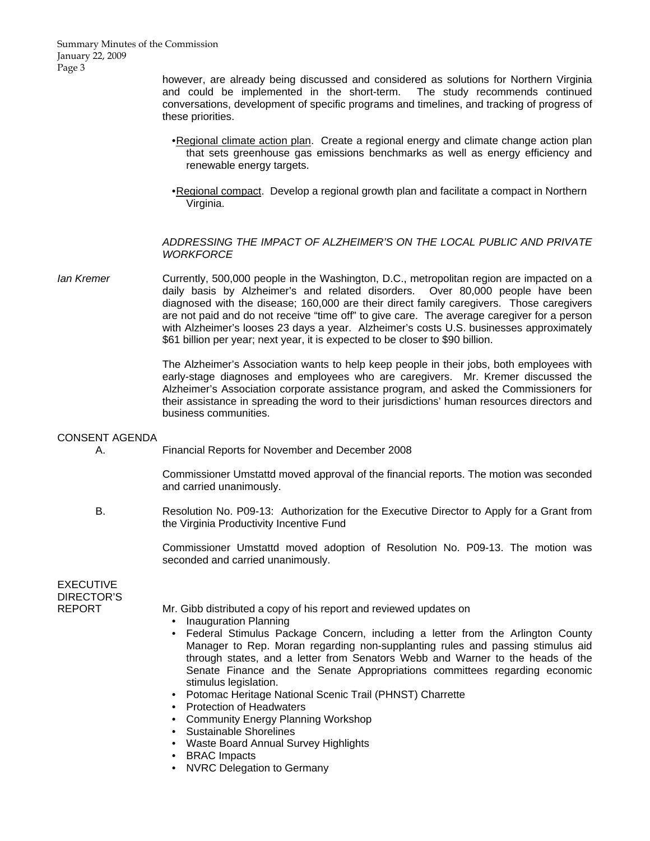Summary Minutes of the Commission January 22, 2009 Page 3

> however, are already being discussed and considered as solutions for Northern Virginia and could be implemented in the short-term. The study recommends continued conversations, development of specific programs and timelines, and tracking of progress of these priorities.

- Regional climate action plan. Create a regional energy and climate change action plan that sets greenhouse gas emissions benchmarks as well as energy efficiency and renewable energy targets.
- Regional compact. Develop a regional growth plan and facilitate a compact in Northern Virginia.

#### *ADDRESSING THE IMPACT OF ALZHEIMER'S ON THE LOCAL PUBLIC AND PRIVATE WORKFORCE*

*Ian Kremer* Currently, 500,000 people in the Washington, D.C., metropolitan region are impacted on a daily basis by Alzheimer's and related disorders. Over 80,000 people have been diagnosed with the disease; 160,000 are their direct family caregivers. Those caregivers are not paid and do not receive "time off" to give care. The average caregiver for a person with Alzheimer's looses 23 days a year. Alzheimer's costs U.S. businesses approximately \$61 billion per year; next year, it is expected to be closer to \$90 billion.

> The Alzheimer's Association wants to help keep people in their jobs, both employees with early-stage diagnoses and employees who are caregivers. Mr. Kremer discussed the Alzheimer's Association corporate assistance program, and asked the Commissioners for their assistance in spreading the word to their jurisdictions' human resources directors and business communities.

#### CONSENT AGENDA

A. Financial Reports for November and December 2008

 Commissioner Umstattd moved approval of the financial reports. The motion was seconded and carried unanimously.

 B. Resolution No. P09-13: Authorization for the Executive Director to Apply for a Grant from the Virginia Productivity Incentive Fund

> Commissioner Umstattd moved adoption of Resolution No. P09-13. The motion was seconded and carried unanimously.

EXECUTIVE DIRECTOR'S

REPORT Mr. Gibb distributed a copy of his report and reviewed updates on

- Inauguration Planning
- Federal Stimulus Package Concern, including a letter from the Arlington County Manager to Rep. Moran regarding non-supplanting rules and passing stimulus aid through states, and a letter from Senators Webb and Warner to the heads of the Senate Finance and the Senate Appropriations committees regarding economic stimulus legislation.
- Potomac Heritage National Scenic Trail (PHNST) Charrette
- Protection of Headwaters
- Community Energy Planning Workshop
- Sustainable Shorelines
- Waste Board Annual Survey Highlights
- BRAC Impacts
- NVRC Delegation to Germany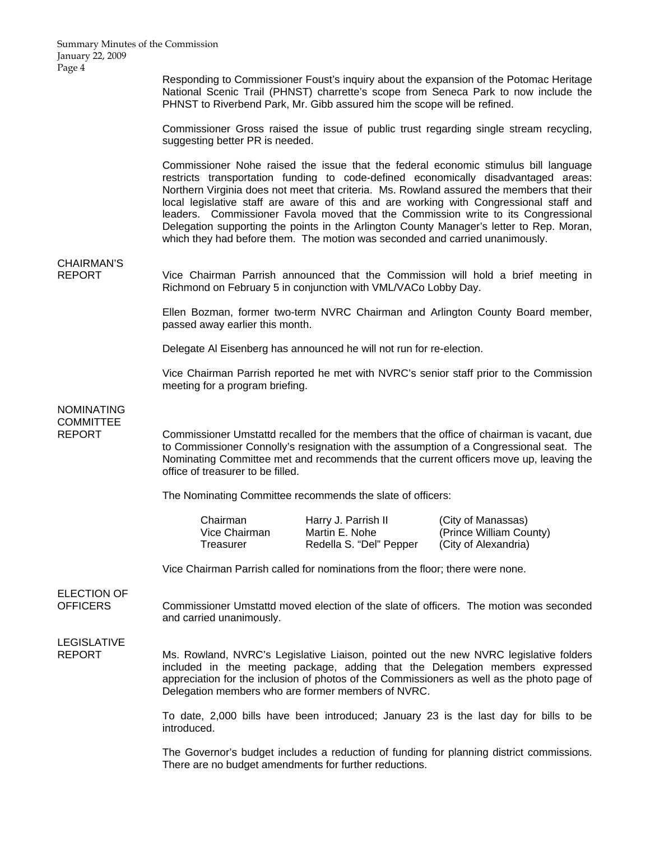Responding to Commissioner Foust's inquiry about the expansion of the Potomac Heritage National Scenic Trail (PHNST) charrette's scope from Seneca Park to now include the PHNST to Riverbend Park, Mr. Gibb assured him the scope will be refined.

Commissioner Gross raised the issue of public trust regarding single stream recycling, suggesting better PR is needed.

Commissioner Nohe raised the issue that the federal economic stimulus bill language restricts transportation funding to code-defined economically disadvantaged areas: Northern Virginia does not meet that criteria. Ms. Rowland assured the members that their local legislative staff are aware of this and are working with Congressional staff and leaders. Commissioner Favola moved that the Commission write to its Congressional Delegation supporting the points in the Arlington County Manager's letter to Rep. Moran, which they had before them. The motion was seconded and carried unanimously.

## CHAIRMAN'S

REPORT Vice Chairman Parrish announced that the Commission will hold a brief meeting in Richmond on February 5 in conjunction with VML/VACo Lobby Day.

> Ellen Bozman, former two-term NVRC Chairman and Arlington County Board member, passed away earlier this month.

Delegate Al Eisenberg has announced he will not run for re-election.

 Vice Chairman Parrish reported he met with NVRC's senior staff prior to the Commission meeting for a program briefing.

## NOMINATING COMMITTEE

REPORT Commissioner Umstattd recalled for the members that the office of chairman is vacant, due to Commissioner Connolly's resignation with the assumption of a Congressional seat. The Nominating Committee met and recommends that the current officers move up, leaving the office of treasurer to be filled.

The Nominating Committee recommends the slate of officers:

Chairman **Harry J. Parrish II** (City of Manassas) Vice Chairman Martin E. Nohe (Prince William County) Treasurer Redella S. "Del" Pepper (City of Alexandria)

Vice Chairman Parrish called for nominations from the floor; there were none.

# ELECTION OF

OFFICERS Commissioner Umstattd moved election of the slate of officers. The motion was seconded and carried unanimously.

### LEGISLATIVE

REPORT Ms. Rowland, NVRC's Legislative Liaison, pointed out the new NVRC legislative folders included in the meeting package, adding that the Delegation members expressed appreciation for the inclusion of photos of the Commissioners as well as the photo page of Delegation members who are former members of NVRC.

> To date, 2,000 bills have been introduced; January 23 is the last day for bills to be introduced.

> The Governor's budget includes a reduction of funding for planning district commissions. There are no budget amendments for further reductions.